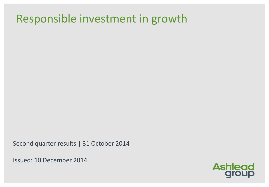# Responsible investment in growth

Second quarter results | 31 October 2014

Issued: 10 December 2014

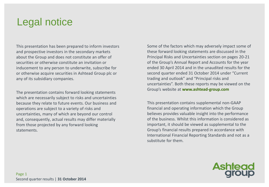# Legal notice

This presentation has been prepared to inform investors and prospective investors in the secondary markets about the Group and does not constitute an offer of securities or otherwise constitute an invitation or inducement to any person to underwrite, subscribe for or otherwise acquire securities in Ashtead Group plc or any of its subsidiary companies.

The presentation contains forward looking statements which are necessarily subject to risks and uncertainties because they relate to future events. Our business and operations are subject to a variety of risks and uncertainties, many of which are beyond our control and, consequently, actual results may differ materially from those projected by any forward looking statements.

Some of the factors which may adversely impact some of these forward looking statements are discussed in the Principal Risks and Uncertainties section on pages 20-21 of the Group's Annual Report and Accounts for the year ended 30 April 2014 and in the unaudited results for the second quarter ended 31 October 2014 under "Current trading and outlook" and "Principal risks and uncertainties". Both these reports may be viewed on the Group's website at **www.ashtead-group.com**

This presentation contains supplemental non-GAAP financial and operating information which the Group believes provides valuable insight into the performance of the business. Whilst this information is considered as important, it should be viewed as supplemental to the Group's financial results prepared in accordance with International Financial Reporting Standards and not as a substitute for them.

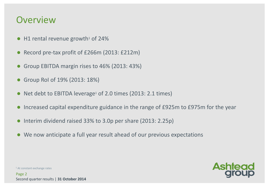## **Overview**

- $\bullet$  H1 rental revenue growth<sup>1</sup> of 24%
- Record pre-tax profit of £266m (2013: £212m)
- Group EBITDA margin rises to 46% (2013: 43%)
- Group RoI of 19% (2013: 18%)
- Net debt to EBITDA leverage<sup>1</sup> of 2.0 times (2013: 2.1 times)
- Increased capital expenditure guidance in the range of £925m to £975m for the year
- Interim dividend raised 33% to 3.0p per share (2013: 2.25p)
- We now anticipate a full year result ahead of our previous expectations



<sup>1</sup> At constant exchange rates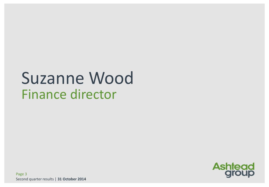# Suzanne Wood Finance director

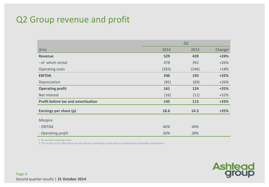### Q2 Group revenue and profit

|                                           | Q <sub>2</sub> |       |                     |  |
|-------------------------------------------|----------------|-------|---------------------|--|
| (fm)                                      | 2014           | 2013  | Change <sup>1</sup> |  |
| <b>Revenue</b>                            | 529            | 439   | $+24%$              |  |
| - of which rental                         | 478            | 392   | $+26%$              |  |
| Operating costs                           | (283)          | (246) | $+18%$              |  |
| <b>EBITDA</b>                             | 246            | 193   | $+32%$              |  |
| Depreciation                              | (85)           | (69)  | $+26%$              |  |
| <b>Operating profit</b>                   | 161            | 124   | $+35%$              |  |
| Net interest                              | (16)           | (11)  | $+52%$              |  |
| <b>Profit before tax and amortisation</b> | 145            | 113   | $+33%$              |  |
| Earnings per share (p)                    | 18.6           | 14.3  | $+35%$              |  |
| <b>Margins</b>                            |                |       |                     |  |
| - EBITDA                                  | 46%            | 44%   |                     |  |
| - Operating profit                        | 30%            | 28%   |                     |  |

*1 At constant exchange rates*

*2 The results in the table above are the Group's underlying results and are stated before intangible amortisation*

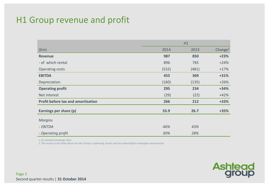#### H1 Group revenue and profit

|                                           | H1    |       |                     |  |
|-------------------------------------------|-------|-------|---------------------|--|
| (fm)                                      | 2014  | 2013  | Change <sup>1</sup> |  |
| <b>Revenue</b>                            | 987   | 850   | $+23%$              |  |
| - of which rental                         | 896   | 765   | $+24%$              |  |
| Operating costs                           | (532) | (481) | $+17%$              |  |
| <b>EBITDA</b>                             | 455   | 369   | $+31%$              |  |
| Depreciation                              | (160) | (135) | $+26%$              |  |
| <b>Operating profit</b>                   | 295   | 234   | $+34%$              |  |
| Net interest                              | (29)  | (22)  | $+42%$              |  |
| <b>Profit before tax and amortisation</b> | 266   | 212   | $+33%$              |  |
| Earnings per share (p)                    | 33.9  | 26.7  | $+35%$              |  |
| <b>Margins</b>                            |       |       |                     |  |
| - EBITDA                                  | 46%   | 43%   |                     |  |
| - Operating profit                        | 30%   | 28%   |                     |  |

*1 At constant exchange rates*

*2 The results in the table above are the Group's underlying results and are stated before intangible amortisation*

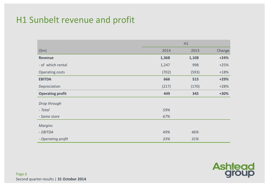## H1 Sunbelt revenue and profit

|                         | H1    |       |        |
|-------------------------|-------|-------|--------|
| (5m)                    | 2014  | 2013  | Change |
| <b>Revenue</b>          | 1,368 | 1,108 | $+24%$ |
| - of which rental       | 1,247 | 998   | $+25%$ |
| Operating costs         | (702) | (593) | $+18%$ |
| <b>EBITDA</b>           | 666   | 515   | $+29%$ |
| Depreciation            | (217) | (170) | $+28%$ |
| <b>Operating profit</b> | 449   | 345   | $+30%$ |
| Drop through            |       |       |        |
| - Total                 | 59%   |       |        |
| - Same store            | 67%   |       |        |
| <b>Margins</b>          |       |       |        |
| - EBITDA                | 49%   | 46%   |        |
| - Operating profit      | 33%   | 31%   |        |

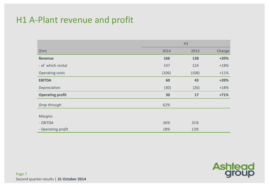#### H1 A-Plant revenue and profit

|                         | H1    |       |        |  |
|-------------------------|-------|-------|--------|--|
| (fm)                    | 2014  | 2013  | Change |  |
| <b>Revenue</b>          | 166   | 138   | $+20%$ |  |
| - of which rental       | 147   | 124   | $+18%$ |  |
| Operating costs         | (106) | (108) | $+11%$ |  |
| <b>EBITDA</b>           | 60    | 43    | +39%   |  |
| Depreciation            | (30)  | (26)  | $+18%$ |  |
| <b>Operating profit</b> | 30    | 17    | $+71%$ |  |
| Drop through            | 62%   |       |        |  |
| <b>Margins</b>          |       |       |        |  |
| - EBITDA                | 36%   | 31%   |        |  |
| - Operating profit      | 18%   | 13%   |        |  |

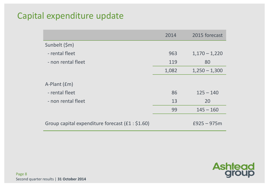## Capital expenditure update

|                                                   | 2014  | 2015 forecast   |
|---------------------------------------------------|-------|-----------------|
| Sunbelt (\$m)                                     |       |                 |
| - rental fleet                                    | 963   | $1,170 - 1,220$ |
| - non rental fleet                                | 119   | 80              |
|                                                   | 1,082 | $1,250 - 1,300$ |
| A-Plant (£m)<br>- rental fleet                    | 86    | $125 - 140$     |
| - non rental fleet                                | 13    | 20              |
|                                                   | 99    | $145 - 160$     |
| Group capital expenditure forecast $(f1 : $1.60)$ |       | $£925 - 975m$   |

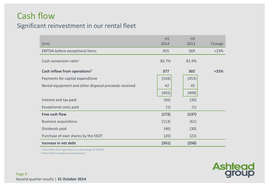## Cash flow

#### Significant reinvestment in our rental fleet

| (f <sub>em</sub> )                                    | H1<br>2014 | H1<br>2013 | Change |
|-------------------------------------------------------|------------|------------|--------|
|                                                       |            |            |        |
| EBITDA before exceptional items                       | 455        | 369        | $+23%$ |
| Cash conversion ratio <sup>1</sup>                    | 82.7%      | 81.9%      |        |
| Cash inflow from operations <sup>2</sup>              | 377        | 302        | $+25%$ |
| Payments for capital expenditure                      | (534)      | (453)      |        |
| Rental equipment and other disposal proceeds received | 42         | 45         |        |
|                                                       | (492)      | (408)      |        |
| Interest and tax paid                                 | (56)       | (30)       |        |
| Exceptional costs paid                                | (1)        | (1)        |        |
| <b>Free cash flow</b>                                 | (172)      | (137)      |        |
| <b>Business acquisitions</b>                          | (113)      | (61)       |        |
| Dividends paid                                        | (46)       | (30)       |        |
| Purchase of own shares by the ESOT                    | (20)       | (22)       |        |
| Increase in net debt                                  | (351)      | (250)      |        |

<sup>1</sup> Cash inflow from operations as a percentage of EBITDA

2 Before fleet changes and exceptionals

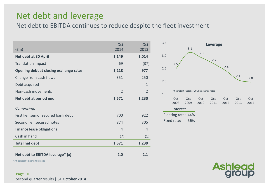#### Net debt and leverage

Net debt to EBITDA continues to reduce despite the fleet investment

|                                        | Oct            | <b>Oct</b>     |
|----------------------------------------|----------------|----------------|
| (fm)                                   | 2014           | 2013           |
| Net debt at 30 April                   | 1,149          | 1,014          |
| <b>Translation impact</b>              | 69             | (37)           |
| Opening debt at closing exchange rates | 1,218          | 977            |
| Change from cash flows                 | 351            | 250            |
| Debt acquired                          |                | $\mathbf{1}$   |
| Non-cash movements                     | $\overline{2}$ | $\overline{2}$ |
| Net debt at period end                 | 1,571          | 1,230          |
| Comprising:                            |                |                |
| First lien senior secured bank debt    | 700            | 922            |
| Second lien secured notes              | 874            | 305            |
| Finance lease obligations              | $\overline{4}$ | $\overline{4}$ |
| Cash in hand                           | (7)            | (1)            |
| <b>Total net debt</b>                  | 1,571          | 1,230          |
| Net debt to EBITDA leverage* (x)       | 2.0            | 2.1            |



**Ashtead** 

\*At constant exchange rates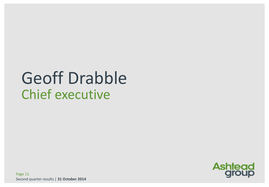# Geoff Drabble Chief executive



Page 11 Second quarter results | **31 October 2014**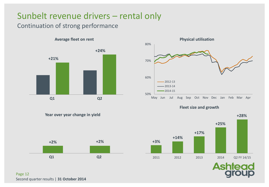# Sunbelt revenue drivers – rental only

#### Continuation of strong performance



50% 60% 70% 80% May Jun Jul Aug Sep Oct Nov Dec Jan Feb Mar Apr 2012-13  $-2013-14$  $-2014-15$ 







**Year over year change in yield**

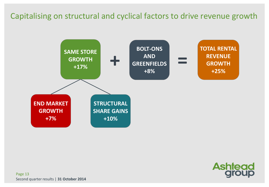#### Capitalising on structural and cyclical factors to drive revenue growth



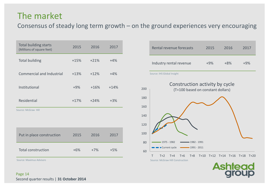### The market

Consensus of steady long term growth – on the ground experiences very encouraging

| <b>Total building starts</b><br>(Millions of square feet) | 2015   | 2016   | 2017   |
|-----------------------------------------------------------|--------|--------|--------|
| <b>Total building</b>                                     | $+15%$ | $+21%$ | $+4%$  |
| Commercial and Industrial                                 | $+13%$ | $+12%$ | $+4%$  |
| Institutional                                             | $+9%$  | $+16%$ | $+14%$ |
| Residential                                               | $+17%$ | $+24%$ | $+3%$  |
| Source: McGraw Hill                                       |        |        |        |
| Put in place construction                                 | 2015   | 2016   | 2017   |
| <b>Total construction</b>                                 | $+6%$  | $+7%$  | $+5%$  |

Source: Maximus Advisors

|     | Rental revenue forecasts                                            | 2015   | 2016                    | 2017             |
|-----|---------------------------------------------------------------------|--------|-------------------------|------------------|
|     | Industry rental revenue                                             | $+9\%$ | $+8%$                   | $+9%$            |
|     | Source: IHS Global Insight                                          |        |                         |                  |
| 200 | Construction activity by cycle<br>(T=100 based on constant dollars) |        |                         |                  |
| 180 |                                                                     |        |                         |                  |
| 160 |                                                                     |        |                         |                  |
| 140 |                                                                     |        |                         |                  |
| 120 |                                                                     |        |                         |                  |
| 100 |                                                                     |        |                         |                  |
| 80  | 1975 - 1982<br>1982 - 1991                                          |        |                         |                  |
| 60  | Current cycle<br>$-1991 - 2011$                                     |        |                         |                  |
|     | T<br>$T+2$<br>$T+4$<br>$T+6$<br>Source: McGraw Hill Construction    |        | T+8 T+10 T+12 T+14 T+16 | $T+18$<br>$T+20$ |
|     |                                                                     |        |                         |                  |

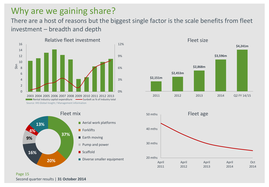### Why are we gaining share?

There are a host of reasons but the biggest single factor is the scale benefits from fleet investment – breadth and depth









Page 15 Second quarter results | **31 October 2014**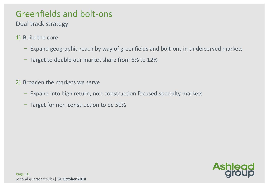# Greenfields and bolt-ons

Dual track strategy

- 1) Build the core
	- ̶ Expand geographic reach by way of greenfields and bolt-ons in underserved markets
	- ̶ Target to double our market share from 6% to 12%
- 2) Broaden the markets we serve
	- ̶ Expand into high return, non-construction focused specialty markets
	- ̶ Target for non-construction to be 50%

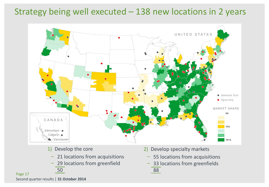#### Strategy being well executed – 138 new locations in 2 years



- 1) Develop the core
	- 21 locations from acquisitions
	- ̶ 29 locations from greenfield 50
- 2) Develop specialty markets
	- ̶ 55 locations from acquisitions
	- ̶ 33 locations from greenfields 88

Page 17 Second quarter results | **31 October 2014**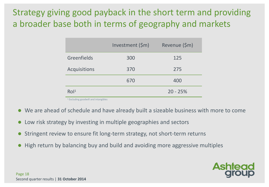# Strategy giving good payback in the short term and providing a broader base both in terms of geography and markets

|                     | Investment (\$m) | Revenue (\$m) |
|---------------------|------------------|---------------|
| Greenfields         | 300              | 125           |
| <b>Acquisitions</b> | 370              | 275           |
|                     | 670              | 400           |
| RoI <sup>1</sup>    |                  | $20 - 25%$    |

<sup>1</sup> Excluding goodwill and intangibles

- We are ahead of schedule and have already built a sizeable business with more to come
- Low risk strategy by investing in multiple geographies and sectors
- Stringent review to ensure fit long-term strategy, not short-term returns
- High return by balancing buy and build and avoiding more aggressive multiples

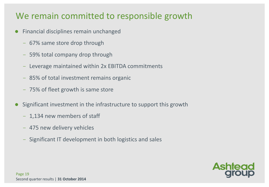## We remain committed to responsible growth

- **•** Financial disciplines remain unchanged
	- ̶ 67% same store drop through
	- ̶ 59% total company drop through
	- ̶ Leverage maintained within 2x EBITDA commitments
	- ̶ 85% of total investment remains organic
	- ̶ 75% of fleet growth is same store
- Significant investment in the infrastructure to support this growth
	- 1,134 new members of staff
	- ̶ 475 new delivery vehicles
	- ̶ Significant IT development in both logistics and sales

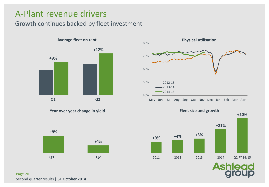#### A-Plant revenue drivers

#### Growth continues backed by fleet investment



**Year over year change in yield**









Page 20 Second quarter results | **31 October 2014**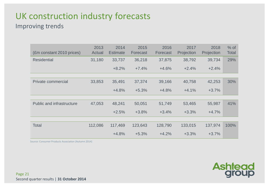# UK construction industry forecasts

#### Improving trends

| (£m constant 2010 prices)        | 2013<br>Actual | 2014<br><b>Estimate</b> | 2015<br>Forecast | 2016<br>Forecast | 2017<br>Projection | 2018<br>Projection | $%$ of<br><b>Total</b> |
|----------------------------------|----------------|-------------------------|------------------|------------------|--------------------|--------------------|------------------------|
| <b>Residential</b>               | 31,180         | 33,737                  | 36,218           | 37,875           | 38,792             | 39,734             | 29%                    |
|                                  |                | $+8.2%$                 | $+7.4%$          | $+4.6%$          | $+2.4%$            | $+2.4%$            |                        |
|                                  |                |                         |                  |                  |                    |                    |                        |
| Private commercial               | 33,853         | 35,491                  | 37,374           | 39,166           | 40,758             | 42,253             | 30%                    |
|                                  |                | $+4.8%$                 | $+5.3%$          | $+4.8%$          | $+4.1%$            | $+3.7%$            |                        |
|                                  |                |                         |                  |                  |                    |                    |                        |
| <b>Public and infrastructure</b> | 47,053         | 48,241                  | 50,051           | 51,749           | 53,465             | 55,987             | 41%                    |
|                                  |                | $+2.5%$                 | $+3.8%$          | $+3.4%$          | $+3.3%$            | $+4.7%$            |                        |
|                                  |                |                         |                  |                  |                    |                    |                        |
| <b>Total</b>                     | 112,086        | 117,469                 | 123,643          | 128,790          | 133,015            | 137,974            | 100%                   |
|                                  |                | $+4.8%$                 | $+5.3%$          | $+4.2%$          | $+3.3%$            | $+3.7%$            |                        |

**Ashtead**<br>**group** 

Source: Consumer Products Association (Autumn 2014)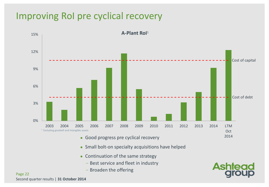# Improving RoI pre cyclical recovery



Page 22 Second quarter results | **31 October 2014**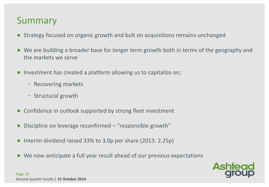# Summary

- Strategy focused on organic growth and bolt on acquisitions remains unchanged
- We are building a broader base for longer term growth both in terms of the geography and the markets we serve
- Investment has created a platform allowing us to capitalize on;
	- ̶ Recovering markets
	- ̶ Structural growth
- Confidence in outlook supported by strong fleet investment
- Discipline on leverage reconfirmed "responsible growth"
- $\bullet$  Interim dividend raised 33% to 3.0p per share (2013: 2.25p)
- We now anticipate a full year result ahead of our previous expectations

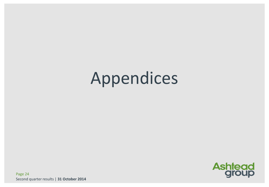# Appendices

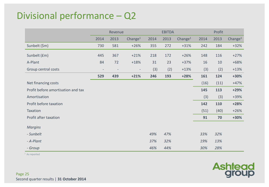# Divisional performance – Q2

|                                    | Revenue |      |                          | <b>EBITDA</b> |      |                     | Profit |      |            |
|------------------------------------|---------|------|--------------------------|---------------|------|---------------------|--------|------|------------|
|                                    | 2014    | 2013 | Change <sup>1</sup>      | 2014          | 2013 | Change <sup>1</sup> | 2014   | 2013 | Change $1$ |
| Sunbelt (\$m)                      | 730     | 581  | $+26%$                   | 355           | 272  | $+31%$              | 242    | 184  | $+32%$     |
| Sunbelt (£m)                       | 445     | 367  | $+21%$                   | 218           | 172  | $+26%$              | 148    | 116  | $+27%$     |
| A-Plant                            | 84      | 72   | $+18%$                   | 31            | 23   | $+37%$              | 16     | 10   | $+68%$     |
| Group central costs                |         |      | $\overline{\phantom{a}}$ | (3)           | (2)  | $+13%$              | (3)    | (2)  | $+13%$     |
|                                    | 529     | 439  | $+21%$                   | 246           | 193  | $+28%$              | 161    | 124  | +30%       |
| Net financing costs                |         |      |                          |               |      |                     | (16)   | (11) | $+47%$     |
| Profit before amortisation and tax |         |      |                          |               |      |                     | 145    | 113  | $+29%$     |
| Amortisation                       |         |      |                          |               |      |                     | (3)    | (3)  | $+39%$     |
| Profit before taxation             |         |      |                          |               |      |                     | 142    | 110  | $+28%$     |
| Taxation                           |         |      |                          |               |      |                     | (51)   | (40) | $+26%$     |
| Profit after taxation              |         |      |                          |               |      |                     | 91     | 70   | +30%       |
| <b>Margins</b>                     |         |      |                          |               |      |                     |        |      |            |
| - Sunbelt                          |         |      |                          | 49%           | 47%  |                     | 33%    | 32%  |            |
| - A-Plant                          |         |      |                          | 37%           | 32%  |                     | 19%    | 13%  |            |
| - Group                            |         |      |                          | 46%           | 44%  |                     | 30%    | 28%  |            |

<sup>1</sup> As reported

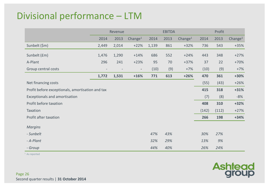# Divisional performance – LTM

|                                                  | Revenue |       |                     |       | <b>EBITDA</b> |                     | Profit |       |            |  |
|--------------------------------------------------|---------|-------|---------------------|-------|---------------|---------------------|--------|-------|------------|--|
|                                                  | 2014    | 2013  | Change <sup>1</sup> | 2014  | 2013          | Change <sup>1</sup> | 2014   | 2013  | Change $1$ |  |
| Sunbelt (\$m)                                    | 2,449   | 2,014 | $+22%$              | 1,139 | 861           | $+32%$              | 736    | 543   | $+35%$     |  |
| Sunbelt (£m)                                     | 1,476   | 1,290 | $+14%$              | 686   | 552           | $+24%$              | 443    | 348   | $+27%$     |  |
| A-Plant                                          | 296     | 241   | $+23%$              | 95    | 70            | $+37%$              | 37     | 22    | $+70%$     |  |
| Group central costs                              |         |       | $\blacksquare$      | (10)  | (9)           | $+7%$               | (10)   | (9)   | $+7%$      |  |
|                                                  | 1,772   | 1,531 | $+16%$              | 771   | 613           | $+26%$              | 470    | 361   | +30%       |  |
| Net financing costs                              |         |       |                     |       |               |                     | (55)   | (43)  | $+26%$     |  |
| Profit before exceptionals, amortisation and tax |         |       |                     |       |               |                     | 415    | 318   | $+31%$     |  |
| Exceptionals and amortisation                    |         |       |                     |       |               |                     | (7)    | (8)   | $-8%$      |  |
| Profit before taxation                           |         |       |                     |       |               |                     | 408    | 310   | $+32%$     |  |
| Taxation                                         |         |       |                     |       |               |                     | (142)  | (112) | $+27%$     |  |
| Profit after taxation                            |         |       |                     |       |               |                     | 266    | 198   | $+34%$     |  |
| <b>Margins</b>                                   |         |       |                     |       |               |                     |        |       |            |  |
| - Sunbelt                                        |         |       |                     | 47%   | 43%           |                     | 30%    | 27%   |            |  |
| - A-Plant                                        |         |       |                     | 32%   | 29%           |                     | 13%    | 9%    |            |  |
| - Group                                          |         |       |                     | 44%   | 40%           |                     | 26%    | 24%   |            |  |

<sup>1</sup> As reported

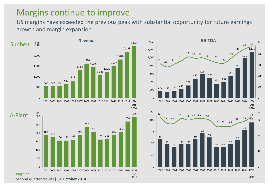#### Margins continue to improve

US margins have exceeded the previous peak with substantial opportunity for future earnings growth and margin expansion



Second quarter results | **31 October 2014**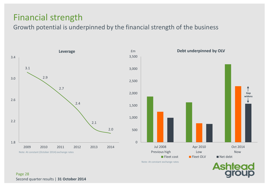### Financial strength

Growth potential is underpinned by the financial strength of the business



Note: At constant exchange rates

AS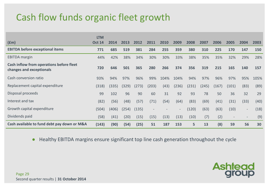# Cash flow funds organic fleet growth

|                                                                      | <b>LTM</b>    |       |       |       |       |      |        |                |       |       |                          |                          |      |
|----------------------------------------------------------------------|---------------|-------|-------|-------|-------|------|--------|----------------|-------|-------|--------------------------|--------------------------|------|
| f(m)                                                                 | <b>Oct 14</b> | 2014  | 2013  | 2012  | 2011  | 2010 | 2009   | 2008           | 2007  | 2006  | 2005                     | 2004                     | 2003 |
| <b>EBITDA before exceptional items</b>                               | 771           | 685   | 519   | 381   | 284   | 255  | 359    | 380            | 310   | 225   | 170                      | 147                      | 150  |
| <b>EBITDA</b> margin                                                 | 44%           | 42%   | 38%   | 34%   | 30%   | 30%  | 33%    | 38%            | 35%   | 35%   | 32%                      | 29%                      | 28%  |
| Cash inflow from operations before fleet<br>changes and exceptionals | 720           | 646   | 501   | 365   | 280   | 266  | 374    | 356            | 319   | 215   | 165                      | 140                      | 157  |
| Cash conversion ratio                                                | 93%           | 94%   | 97%   | 96%   | 99%   | 104% | 104%   | 94%            | 97%   | 96%   | 97%                      | 95%                      | 105% |
| Replacement capital expenditure                                      | (318)         | (335) | (329) | (273) | (203) | (43) | (236)  | (231)          | (245) | (167) | (101)                    | (83)                     | (89) |
| Disposal proceeds                                                    | 99            | 102   | 96    | 90    | 60    | 31   | 92     | 93             | 78    | 50    | 36                       | 32                       | 29   |
| Interest and tax                                                     | (82)          | (56)  | (48)  | (57)  | (71)  | (54) | (64)   | (83)           | (69)  | (41)  | (31)                     | (33)                     | (40) |
| Growth capital expenditure                                           | (504)         | (406) | (254) | (135) |       |      | $\sim$ | (120)          | (63)  | (63)  | (10)                     | $\overline{\phantom{a}}$ | (18) |
| Dividends paid                                                       | (58)          | (41)  | (20)  | (15)  | (15)  | (13) | (13)   | (10)           | (7)   | (2)   | $\overline{\phantom{a}}$ | $\overline{\phantom{a}}$ | (9)  |
| Cash available to fund debt pay down or M&A                          | (143)         | (90)  | (54)  | (25)  | 51    | 187  | 153    | 5 <sup>1</sup> | 13    | (8)   | 59                       | 56                       | 30   |

● Healthy EBITDA margins ensure significant top line cash generation throughout the cycle

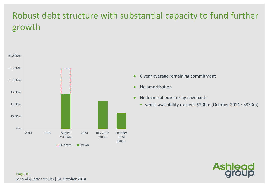# Robust debt structure with substantial capacity to fund further growth



- 6 year average remaining commitment
- No amortisation
- No financial monitoring covenants
	- whilst availability exceeds \$200m (October 2014 : \$830m)

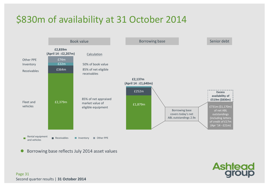# \$830m of availability at 31 October 2014



**Ashtead** 

Borrowing base reflects July 2014 asset values